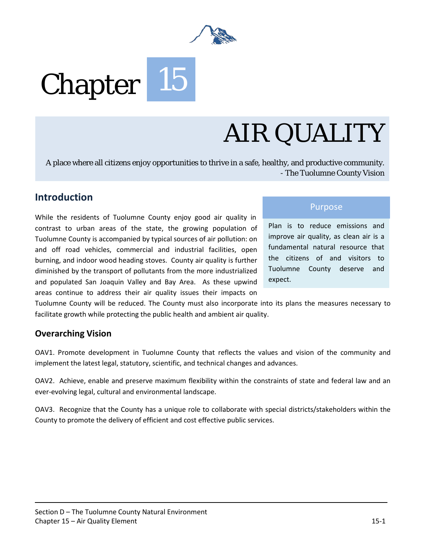

# Chapter<sup>15</sup>

## AIR QUALITY

A place where all citizens enjoy opportunities to thrive in a safe, healthy, and productive community. - The Tuolumne County Vision

#### **Introduction**

While the residents of Tuolumne County enjoy good air quality in contrast to urban areas of the state, the growing population of Tuolumne County is accompanied by typical sources of air pollution: on and off road vehicles, commercial and industrial facilities, open burning, and indoor wood heading stoves. County air quality is further diminished by the transport of pollutants from the more industrialized and populated San Joaquin Valley and Bay Area. As these upwind areas continue to address their air quality issues their impacts on

#### Purpose

Plan is to reduce emissions and improve air quality, as clean air is a fundamental natural resource that the citizens of and visitors to Tuolumne County deserve and expect.

Tuolumne County will be reduced. The County must also incorporate into its plans the measures necessary to facilitate growth while protecting the public health and ambient air quality.

#### **Overarching Vision**

OAV1. Promote development in Tuolumne County that reflects the values and vision of the community and implement the latest legal, statutory, scientific, and technical changes and advances.

OAV2. Achieve, enable and preserve maximum flexibility within the constraints of state and federal law and an ever-evolving legal, cultural and environmental landscape.

OAV3. Recognize that the County has a unique role to collaborate with special districts/stakeholders within the County to promote the delivery of efficient and cost effective public services.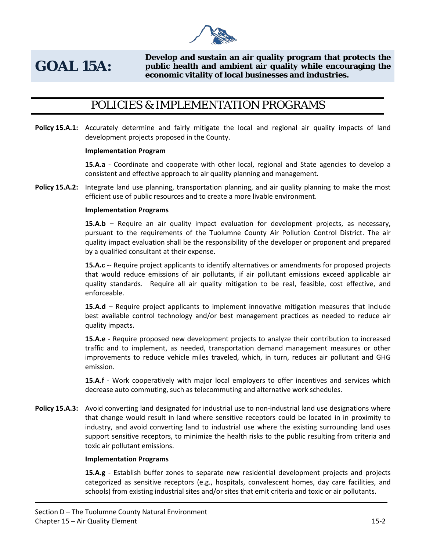

## **GOAL 15A:**

**Develop and sustain an air quality program that protects the public health and ambient air quality while encouraging the economic vitality of local businesses and industries.** 

## POLICIES & IMPLEMENTATION PROGRAMS

**Policy 15.A.1:** Accurately determine and fairly mitigate the local and regional air quality impacts of land development projects proposed in the County.

#### **Implementation Program**

**15.A.a** - Coordinate and cooperate with other local, regional and State agencies to develop a consistent and effective approach to air quality planning and management.

**Policy 15.A.2:** Integrate land use planning, transportation planning, and air quality planning to make the most efficient use of public resources and to create a more livable environment.

#### **Implementation Programs**

**15.A.b** – Require an air quality impact evaluation for development projects, as necessary, pursuant to the requirements of the Tuolumne County Air Pollution Control District. The air quality impact evaluation shall be the responsibility of the developer or proponent and prepared by a qualified consultant at their expense.

**15.A.c** -- Require project applicants to identify alternatives or amendments for proposed projects that would reduce emissions of air pollutants, if air pollutant emissions exceed applicable air quality standards. Require all air quality mitigation to be real, feasible, cost effective, and enforceable.

**15.A.d** – Require project applicants to implement innovative mitigation measures that include best available control technology and/or best management practices as needed to reduce air quality impacts.

**15.A.e** - Require proposed new development projects to analyze their contribution to increased traffic and to implement, as needed, transportation demand management measures or other improvements to reduce vehicle miles traveled, which, in turn, reduces air pollutant and GHG emission.

15.A.f - Work cooperatively with major local employers to offer incentives and services which decrease auto commuting, such as telecommuting and alternative work schedules.

**Policy 15.A.3:** Avoid converting land designated for industrial use to non-industrial land use designations where that change would result in land where sensitive receptors could be located in in proximity to industry, and avoid converting land to industrial use where the existing surrounding land uses support sensitive receptors, to minimize the health risks to the public resulting from criteria and toxic air pollutant emissions.

#### **Implementation Programs**

**15.A.g** - Establish buffer zones to separate new residential development projects and projects categorized as sensitive receptors (e.g., hospitals, convalescent homes, day care facilities, and schools) from existing industrial sites and/or sites that emit criteria and toxic or air pollutants.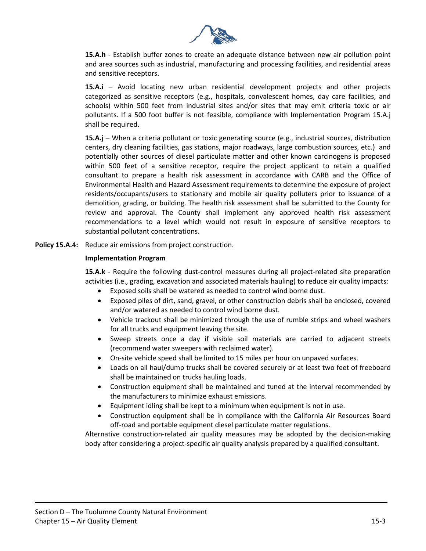

**15.A.h** - Establish buffer zones to create an adequate distance between new air pollution point and area sources such as industrial, manufacturing and processing facilities, and residential areas and sensitive receptors.

**15.A.i** – Avoid locating new urban residential development projects and other projects categorized as sensitive receptors (e.g., hospitals, convalescent homes, day care facilities, and schools) within 500 feet from industrial sites and/or sites that may emit criteria toxic or air pollutants. If a 500 foot buffer is not feasible, compliance with Implementation Program 15.A.j shall be required.

**15.A.j** – When a criteria pollutant or toxic generating source (e.g., industrial sources, distribution centers, dry cleaning facilities, gas stations, major roadways, large combustion sources, etc.) and potentially other sources of diesel particulate matter and other known carcinogens is proposed within 500 feet of a sensitive receptor, require the project applicant to retain a qualified consultant to prepare a health risk assessment in accordance with CARB and the Office of Environmental Health and Hazard Assessment requirements to determine the exposure of project residents/occupants/users to stationary and mobile air quality polluters prior to issuance of a demolition, grading, or building. The health risk assessment shall be submitted to the County for review and approval. The County shall implement any approved health risk assessment recommendations to a level which would not result in exposure of sensitive receptors to substantial pollutant concentrations.

Policy 15.A.4: Reduce air emissions from project construction.

#### **Implementation Program**

**15.A.k** - Require the following dust-control measures during all project-related site preparation activities (i.e., grading, excavation and associated materials hauling) to reduce air quality impacts:

- Exposed soils shall be watered as needed to control wind borne dust.
- Exposed piles of dirt, sand, gravel, or other construction debris shall be enclosed, covered and/or watered as needed to control wind borne dust.
- Vehicle trackout shall be minimized through the use of rumble strips and wheel washers for all trucks and equipment leaving the site.
- Sweep streets once a day if visible soil materials are carried to adjacent streets (recommend water sweepers with reclaimed water).
- On-site vehicle speed shall be limited to 15 miles per hour on unpaved surfaces.
- Loads on all haul/dump trucks shall be covered securely or at least two feet of freeboard shall be maintained on trucks hauling loads.
- Construction equipment shall be maintained and tuned at the interval recommended by the manufacturers to minimize exhaust emissions.
- Equipment idling shall be kept to a minimum when equipment is not in use.
- Construction equipment shall be in compliance with the California Air Resources Board off-road and portable equipment diesel particulate matter regulations.

Alternative construction-related air quality measures may be adopted by the decision-making body after considering a project-specific air quality analysis prepared by a qualified consultant.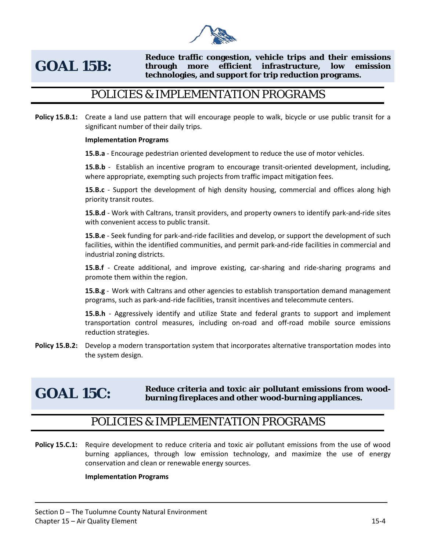

## **GOAL 15B:**

**Reduce traffic congestion, vehicle trips and their emissions through more efficient infrastructure, low emission technologies, and support for trip reduction programs.** 

## POLICIES & IMPLEMENTATION PROGRAMS

**Policy 15.B.1:** Create a land use pattern that will encourage people to walk, bicycle or use public transit for a significant number of their daily trips.

#### **Implementation Programs**

**15.B.a** - Encourage pedestrian oriented development to reduce the use of motor vehicles.

**15.B.b** - Establish an incentive program to encourage transit-oriented development, including, where appropriate, exempting such projects from traffic impact mitigation fees.

**15.B.c** - Support the development of high density housing, commercial and offices along high priority transit routes.

**15.B.d** - Work with Caltrans, transit providers, and property owners to identify park-and-ride sites with convenient access to public transit.

**15.B.e** - Seek funding for park-and-ride facilities and develop, or support the development of such facilities, within the identified communities, and permit park-and-ride facilities in commercial and industrial zoning districts.

**15.B.f** - Create additional, and improve existing, car-sharing and ride-sharing programs and promote them within the region.

**15.B.g** - Work with Caltrans and other agencies to establish transportation demand management programs, such as park-and-ride facilities, transit incentives and telecommute centers.

**15.B.h** - Aggressively identify and utilize State and federal grants to support and implement transportation control measures, including on-road and off-road mobile source emissions reduction strategies.

**Policy 15.B.2:** Develop a modern transportation system that incorporates alternative transportation modes into the system design.

#### GOAL 15C: Reduce criteria and toxic air pollutant emissions from wood**burning fireplaces and other wood-burning appliances.**

### POLICIES & IMPLEMENTATION PROGRAMS

**Policy 15.C.1:** Require development to reduce criteria and toxic air pollutant emissions from the use of wood burning appliances, through low emission technology, and maximize the use of energy conservation and clean or renewable energy sources.

#### **Implementation Programs**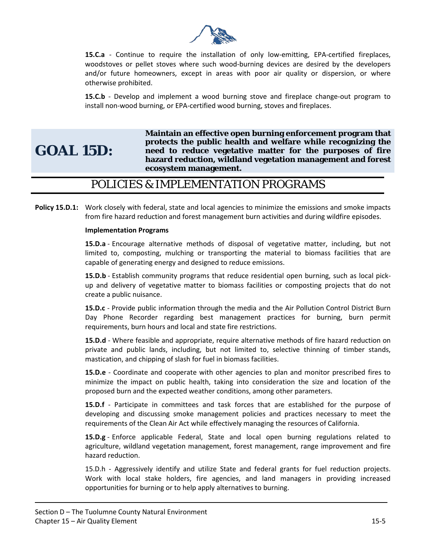

**15.C.a** - Continue to require the installation of only low-emitting, EPA-certified fireplaces, woodstoves or pellet stoves where such wood-burning devices are desired by the developers and/or future homeowners, except in areas with poor air quality or dispersion, or where otherwise prohibited.

**15.C.b** - Develop and implement a wood burning stove and fireplace change-out program to install non-wood burning, or EPA-certified wood burning, stoves and fireplaces.

## **GOAL 15D:**

**Maintain an effective open burning enforcement program that protects the public health and welfare while recognizing the need to reduce vegetative matter for the purposes of fire hazard reduction, wildland vegetation management and forest ecosystem management.** 

## POLICIES & IMPLEMENTATION PROGRAMS

**Policy 15.D.1:** Work closely with federal, state and local agencies to minimize the emissions and smoke impacts from fire hazard reduction and forest management burn activities and during wildfire episodes.

#### **Implementation Programs**

**15.D.a** - Encourage alternative methods of disposal of vegetative matter, including, but not limited to, composting, mulching or transporting the material to biomass facilities that are capable of generating energy and designed to reduce emissions.

**15.D.b** - Establish community programs that reduce residential open burning, such as local pickup and delivery of vegetative matter to biomass facilities or composting projects that do not create a public nuisance.

**15.D.c** - Provide public information through the media and the Air Pollution Control District Burn Day Phone Recorder regarding best management practices for burning, burn permit requirements, burn hours and local and state fire restrictions.

**15.D.d** - Where feasible and appropriate, require alternative methods of fire hazard reduction on private and public lands, including, but not limited to, selective thinning of timber stands, mastication, and chipping of slash for fuel in biomass facilities.

**15.D.e** - Coordinate and cooperate with other agencies to plan and monitor prescribed fires to minimize the impact on public health, taking into consideration the size and location of the proposed burn and the expected weather conditions, among other parameters.

**15.D.f** - Participate in committees and task forces that are established for the purpose of developing and discussing smoke management policies and practices necessary to meet the requirements of the Clean Air Act while effectively managing the resources of California.

**15.D.g** - Enforce applicable Federal, State and local open burning regulations related to agriculture, wildland vegetation management, forest management, range improvement and fire hazard reduction.

15.D.h - Aggressively identify and utilize State and federal grants for fuel reduction projects. Work with local stake holders, fire agencies, and land managers in providing increased opportunities for burning or to help apply alternatives to burning.